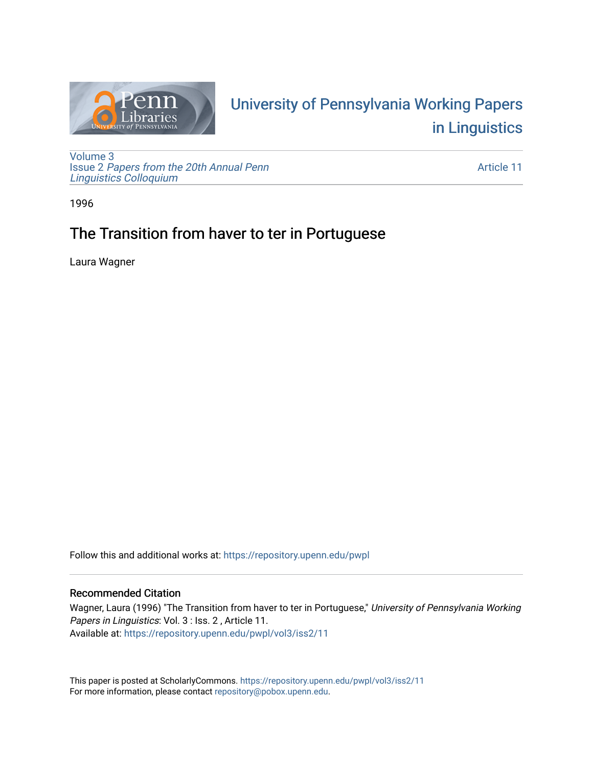

# University of P[ennsylvania Working P](https://repository.upenn.edu/pwpl)apers [in Linguistics](https://repository.upenn.edu/pwpl)

[Volume 3](https://repository.upenn.edu/pwpl/vol3) Issue 2 [Papers from the 20th Annual Penn](https://repository.upenn.edu/pwpl/vol3/iss2) [Linguistics Colloquium](https://repository.upenn.edu/pwpl/vol3/iss2)

[Article 11](https://repository.upenn.edu/pwpl/vol3/iss2/11) 

1996

# The Transition from haver to ter in Portuguese

Laura Wagner

Follow this and additional works at: [https://repository.upenn.edu/pwpl](https://repository.upenn.edu/pwpl?utm_source=repository.upenn.edu%2Fpwpl%2Fvol3%2Fiss2%2F11&utm_medium=PDF&utm_campaign=PDFCoverPages) 

# Recommended Citation

Wagner, Laura (1996) "The Transition from haver to ter in Portuguese," University of Pennsylvania Working Papers in Linguistics: Vol. 3 : Iss. 2 , Article 11. Available at: [https://repository.upenn.edu/pwpl/vol3/iss2/11](https://repository.upenn.edu/pwpl/vol3/iss2/11?utm_source=repository.upenn.edu%2Fpwpl%2Fvol3%2Fiss2%2F11&utm_medium=PDF&utm_campaign=PDFCoverPages) 

This paper is posted at ScholarlyCommons.<https://repository.upenn.edu/pwpl/vol3/iss2/11> For more information, please contact [repository@pobox.upenn.edu.](mailto:repository@pobox.upenn.edu)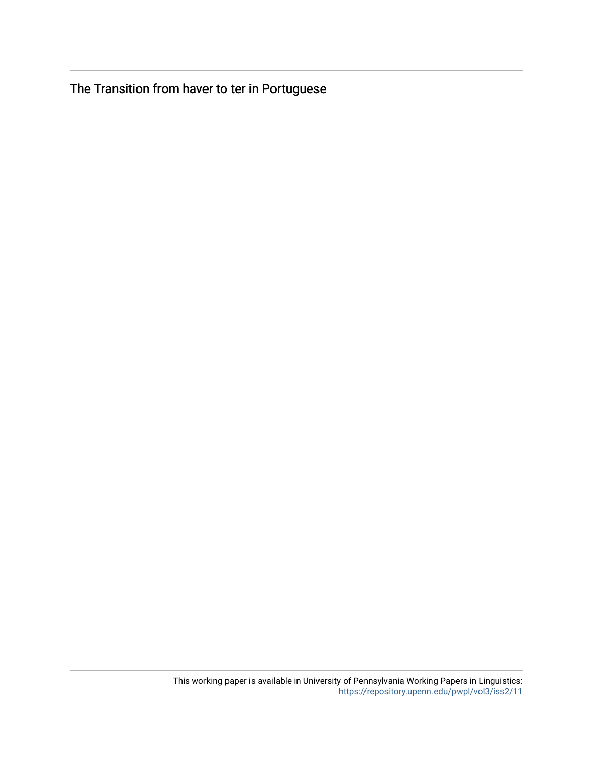The Transition from haver to ter in Portuguese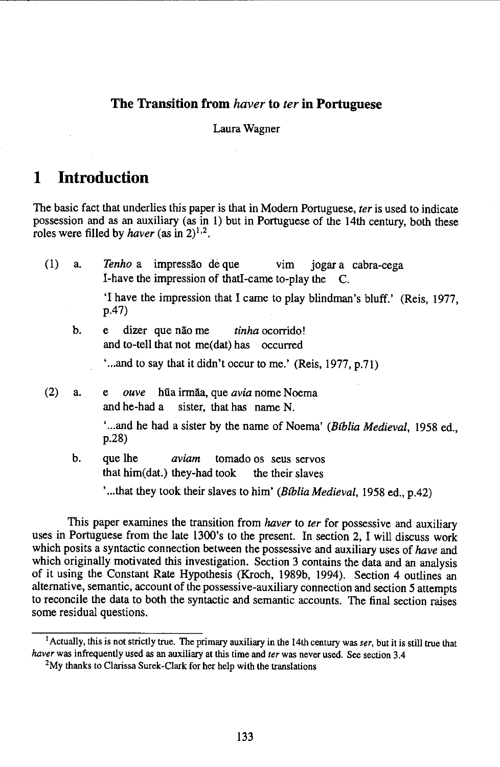#### **The Transition from** *haver* **to** *ter* **in Portuguese**

#### Laura Wagner

# **1 Introduction**

The basic fact that underlies this paper is that in Modem Portuguese, *ter* is used to indicate possession and as an auxiliary (as in 1) but in Portuguese of the 14th century, both these roles were filled by *haver* (as in  $2)^{1,2}$ .

| (1) | a. | Tenho a impressão de que vim jogar a cabra-cega<br>I-have the impression of that I-came to-play the C. |
|-----|----|--------------------------------------------------------------------------------------------------------|
|     |    | 'I have the impression that I came to play blindman's bluff.' (Reis, 1977,<br>p.47)                    |
|     | b. | dizer que não me <i>tinha</i> ocorrido!<br>e.<br>and to-tell that not me(dat) has occurred             |
|     |    | 'and to say that it didn't occur to me.' (Reis, 1977, p.71)                                            |
| (2) | a. | hũa irmãa, que avia nome Noema<br>ouve<br>e<br>and he-had a sister, that has name N.                   |
|     |    | 'and he had a sister by the name of Noema' (Bíblia Medieval, 1958 ed.,<br>p.28)                        |
|     | b. | que lhe<br><i>aviam</i> tomado os seus servos<br>that him(dat.) they-had took the their slaves         |
|     |    | 'that they took their slaves to him' (Bíblia Medieval, 1958 ed., p.42)                                 |

This paper examines the transition from *haver* to *ter* for possessive and auxiliary uses in Portuguese from the late 1300's to the present. In section 2, I will discuss work which posits a syntactic connection between the possessive and auxiliary uses of *have* and which originally motivated this investigation. Section 3 contains the data and an analysis of it using the Constant Rate Hypothesis (Kroch, 1989b, 1994). Section 4 outlines an alternative, semantic, account of the possessive-auxiliary connection and section *5* attempts to reconcile the data to both the syntactic and semantic accounts. The final section raises some residual questions.

<sup>1</sup> Actually, this is not strictly true. The primary auxiliary in the 14th century *wasser,* but it is still true that *haver* was infrequently used as an auxiliary at this time and *ter* was never used. See section 3.4

<sup>2</sup>My thanks to Clarissa Surek-Clark for her help with the translations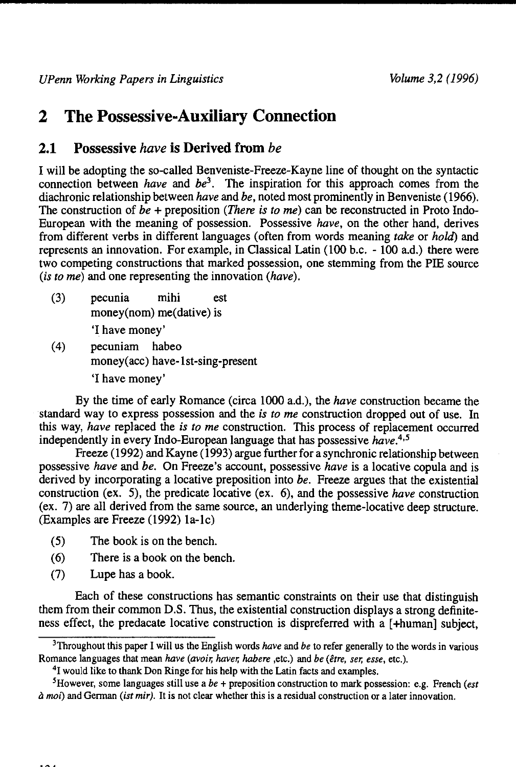# **2 The Possessive-Auxiliary Connection**

# **2.1 Possessive** *have* **is Derived from** *be*

I will be adopting the so-called Benveniste-Freeze-Kayne line of thought on the syntactic connection between *have* and *be*<sup>3</sup>. The inspiration for this approach comes from the diachronic relationship between *have* and *be,* noted most prominently in Benveniste (1966). The construction of *be* + preposition *(There is to me)* can be reconstructed in Proto Indo-European with the meaning of possession. Possessive *have,* on the other hand, derives from different verbs in different languages (often from words meaning *take* or *hold)* and represents an innovation. For example, in Classical Latin (100 b.c. - 100 a.d.) there were two competing constructions that marked possession, one stemming from the PIE source *(is to* me) and one representing the innovation *(have).* 

(3) pecunia mihi est money(nom) me(dative) is

'I have money'

(4) pecuniam habeo money(acc) have-1st-sing-present 'I have money'

By the time of early Romance (circa 1000 a.d.), the *have* construction became the standard way to express possession and the *is to me* construction dropped out of use. In this way, *have* replaced the *is to me* construction. This process of replacement occurred independently in every Indo-European language that has possessive *have.*4•5

Freeze ( 1992) and Kayne ( 1993) argue further for a synchronic relationship between possessive *have* and *be.* On Freeze's account, possessive *have* is a locative copula and is derived by incorporating a locative preposition into *be.* Freeze argues that the existential construction (ex. 5), the predicate locative (ex. 6), and the possessive *have* construction (ex. 7) are all derived from the same source, an underlying theme-locative deep structure. (Examples are Freeze (1992) la-1c)

- (5) The book is on the bench.
- (6) There is a book on the bench.
- (7) Lupe has a book.

Each of these constructions has semantic constraints on their use that distinguish them from their common D.S. Thus, the existential construction displays a strong definiteness effect, the predacate locative construction is dispreferred with a [+human] subject,

<sup>3</sup>Throughout this paper I will us the English words *have* and *be* to refer generally to the words in various Romance languages that mean *have (avoir, haver, habere* ,etc.) and *be (etre, ser, esse,* etc.).

<sup>&</sup>lt;sup>4</sup>I would like to thank Don Ringe for his help with the Latin facts and examples.

<sup>5</sup>However, some languages still use a *be+* preposition construction to mark possession: e.g. French *(est*  a *moi)* and German *(ist mir).* It is not clear whether this is a residual construction or a later innovation.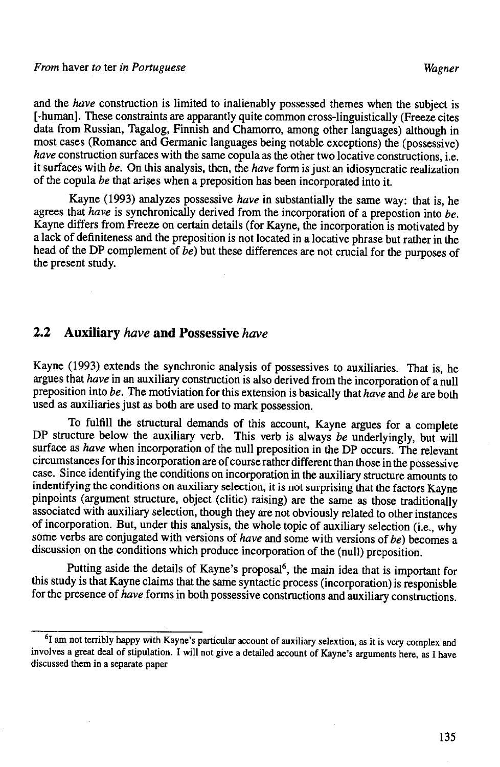and the *have* construction is limited to inalienably possessed themes when the subject is [-human]. These constraints are apparantly quite common cross-linguistically (Freeze cites data from Russian, Tagalog, Finnish and Chamorro, among other languages) although in most cases (Romance and Germanic languages being notable exceptions) the (possessive) *have* construction surfaces with the same copula as the other two locative constructions, i.e. it surfaces with *be.* On this analysis, then, the *have* form is just an idiosyncratic realization of the copula *be* that arises when a preposition has been incorporated into it.

Kayne (1993) analyzes possessive *have* in substantially the same way: that is, he agrees that *have* is synchronically derived from the incorporation of a prepostion into *be.*  Kayne differs from Freeze on certain details (for Kayne, the incorporation is motivated by a lack of definiteness and the preposition is not located in a locative phrase but rather in the head of the DP complement of *be)* but these differences are not crucial for the purposes of the present study.

# **2.2 Auxiliary** *have* **and Possessive** *have*

Kayne (1993) extends the synchronic analysis of possessives to auxiliaries. That is, he argues that *have* in an auxiliary construction is also derived from the incorporation of a null preposition into *be.* The motiviation for this extension is basically that *have* and *be* are both used as auxiliaries just as both are used to mark possession.

To fulfill the structural demands of this account, Kayne argues for a complete DP structure below the auxiliary verb. This verb is always *be* underlyingly, but will surface as *have* when incorporation of the null preposition in the DP occurs. The relevant circumstances for this incorporation are of course rather different than those in the possessive case. Since identifying the conditions on incorporation in the auxiliary structure amounts to indentifying the conditions on auxiliary selection, it is not surprising that the factors Kayne pinpoints (argument structure, object (clitic) raising) are the same as those traditionally associated with auxiliary selection, though they are not obviously related to other instances of incorporation. But, under this analysis, the whole topic of auxiliary selection (i.e., why some verbs are conjugated with versions of *have* and some with versions of *be)* becomes a discussion on the conditions which produce incorporation of the (null) preposition.

Putting aside the details of Kayne's proposal<sup>6</sup>, the main idea that is important for this study is that Kayne claims that the same syntactic process (incorporation) is responisble for the presence of *have* forms in both possessive constructions and auxiliary constructions.

<sup>&</sup>lt;sup>6</sup>I am not terribly happy with Kayne's particular account of auxiliary selextion, as it is very complex and involves a great deal of stipulation. I will not give a detailed account of Kayne's arguments here, as I have discussed them in a separate paper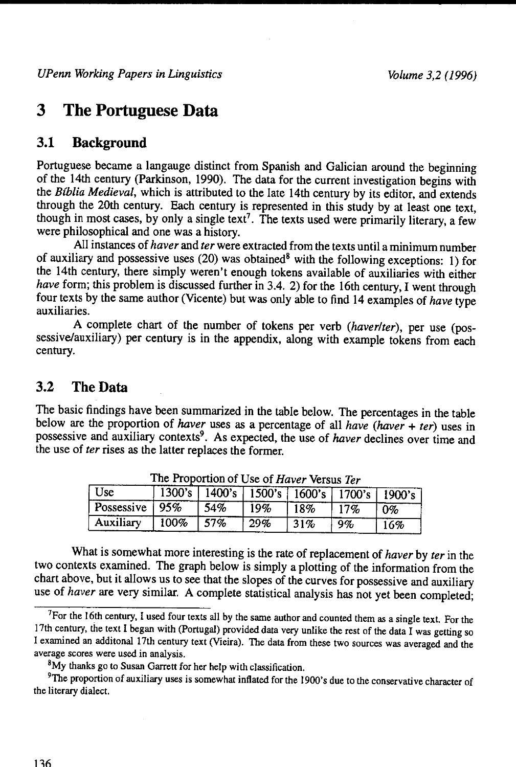# **3 The Portuguese Data**

# **3.1 Background**

Portuguese became a langauge distinct from Spanish and Galician around the beginning of the 14th century (Parkinson, 1990). The data for the current investigation begins with the *Blblia Medieval,* which is attributed to the late 14th century by its editor, and extends through the 20th century. Each century is represented in this study by at least one text, though in most cases, by only a single text?. The texts used were primarily literary, a few were philosophical and one was a history.

All instances of *haver* and *ter* were extracted from the texts until a minimum number of auxiliary and possessive uses (20) was obtained<sup>8</sup> with the following exceptions: 1) for the 14th century, there simply weren't enough tokens available of auxiliaries with either *have* form; this problem is discussed further in 3.4. 2) for the 16th century, I went through four texts by the same author (Vicente) but was only able to find 14 examples of *have* type auxiliaries.

A complete chart of the number of tokens per verb *(haverlter),* per use (possessive/auxiliary) per century is in the appendix, along with example tokens from each century.

#### 3.2 **TheData**

The basic findings have been summarized in the table below. The percentages in the table below are the proportion of *haver* uses as a percentage of all *have (haver* + *ter)* uses in possessive and auxiliary contexts<sup>9</sup>. As expected, the use of *haver* declines over time and the use of *ter* rises as the latter replaces the former.

| ' Use            |      |      | 1300's 1400's 1500's 1600's 1700's 1900's |     |     |       |
|------------------|------|------|-------------------------------------------|-----|-----|-------|
| Possessive   95% |      | 154% | 19%                                       | 18% | 17% | $0\%$ |
| Auxiliary        | 100% | 57%  | 29%                                       | 31% | 9%  | 16%   |

The Proportion of Use of Haver Versus Ter

What is somewhat more interesting is the rate of replacement of *haver* by *ter* in the two contexts examined. The graph below is simply a plotting of the information from the chart above, but it allows us to see that the slopes of the curves for possessive and auxiliary use of *haver* are very similar. A complete statistical analysis has not yet been completed;

<sup>&</sup>lt;sup>7</sup>For the 16th century, I used four texts all by the same author and counted them as a single text. For the 17th century, the text I began with (Portugal) provided data very unlike the rest of the data I was getting so I examined an additonal 17th century text (Vieira). The data from these two sources was averaged and the average scores were used in analysis.

<sup>8</sup>My thanks go to Susan Garrett for her help with classification.

<sup>&</sup>lt;sup>9</sup>The proportion of auxiliary uses is somewhat inflated for the 1900's due to the conservative character of the literary dialect.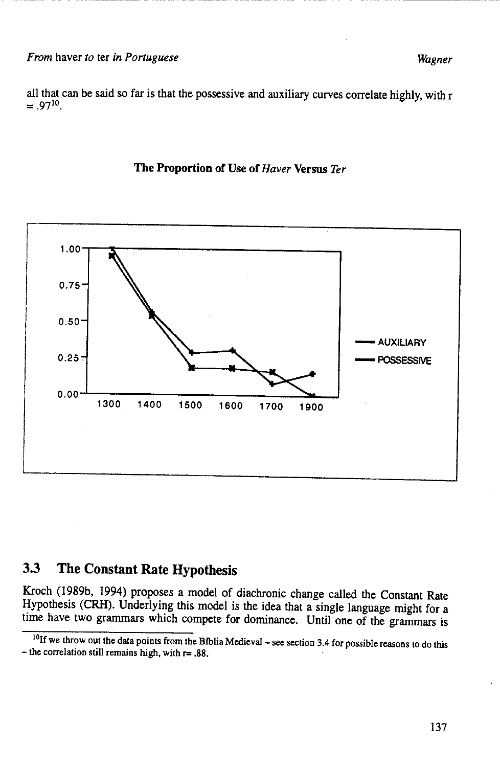all that can be said so far is that the possessive and auxiliary curves correlate highly, with r  $= .97^{10}$ .



#### **The Proportion of Use of** *Haver* **Versus** *Ter*

# **3.3 The Constant Rate Hypothesis**

Kroch (l989b, 1994) proposes a model of diachronic change called the Constant Rate Hypothesis (CRH). Underlying this model is the idea that a single language might for a time have two grammars which compete for dominance. Until one of the grammars is

<sup>&</sup>lt;sup>10</sup>If we throw out the data points from the Biblia Medieval – see section 3.4 for possible reasons to do this - the correlation still remains high, with r= .88.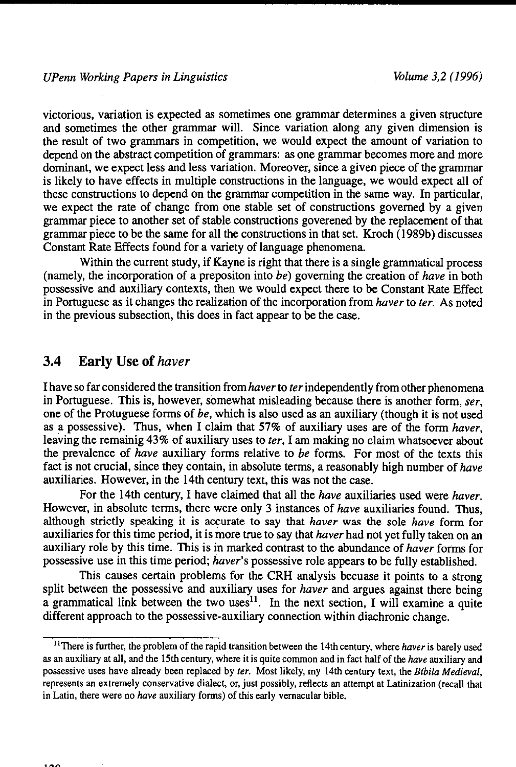victorious, variation is expected as sometimes one grammar determines a given structure and sometimes the other grammar will. Since variation along any given dimension is the result of two grammars in competition, we would expect the amount of variation to depend on the abstract competition of grammars: as one grammar becomes more and more dominant, we expect less and less variation. Moreover, since a given piece of the grammar is likely to have effects in multiple constructions in the language, we would expect all of these constructions to depend on the grammar competition in the same way. In particular, we expect the rate of change from one stable set of constructions governed by a given grammar piece to another set of stable constructions goverened by the replacement of that grammar piece to be the same for all the constructions in that set. Kroch ( 1989b) discusses Constant Rate Effects found for a variety of language phenomena.

Within the current study, if Kayne is right that there is a single grammatical process (namely, the incorporation of a prepositon into *be)* governing the creation of *have* in both possessive and auxiliary contexts, then we would expect there to be Constant Rate Effect in Portuguese as it changes the realization of the incorporation from *haver* to *ter.* As noted in the previous subsection, this does in fact appear to be the case.

## **3.4 Early** Use of *haver*

I have so far considered the transition from *haver* to *ter* independently from other phenomena in Portuguese. This is, however, somewhat misleading because there is another form, *ser,*  one of the Protuguese forms of *be,* which is also used as an auxiliary (though it is not used as a possessive). Thus, when I claim that 57% of auxiliary uses are of the form *haver,*  leaving the remainig 43% of auxiliary uses to *ter,* I am making no claim whatsoever about the prevalence of *have* auxiliary forms relative to *be* forms. For most of the texts this fact is not crucial, since they contain, in absolute terms, a reasonably high number of *have*  auxiliaries. However, in the 14th century text, this was not the case.

For the 14th century, I have claimed that all the *have* auxiliaries used were *haver.*  However, in absolute terms, there were only 3 instances of *have* auxiliaries found. Thus, although strictly speaking it is accurate to say that *haver* was the sole *have* form for auxiliaries for this time period, it is more true to say that *haver* had not yet fully taken on an auxiliary role by this time. This is in marked contrast to the abundance of *haver* forms for possessive use in this time period; *haver's* possessive role appears to be fully established.

This causes certain problems for the CRH analysis becuase it points to a strong split between the possessive and auxiliary uses for *haver* and argues against there being a grammatical link between the two uses<sup>11</sup>. In the next section, I will examine a quite different approach to the possessive-auxiliary connection within diachronic change.

<sup>11</sup>There is further, the problem of the rapid transition between the 14th century, where *haver* is barely used as an auxiliary at all, and the 15th century, where it is quite common and in fact half of the *have* auxiliary and possessive uses have already been replaced by *ter.* Most likely, my 14th century text, the *Btbila Medieval,*  represents an extremely conservative dialect, or, just possibly, reflects an attempt at Latinization (recall that in Latin, there were no *have* auxiliary forms) of this early vernacular bible.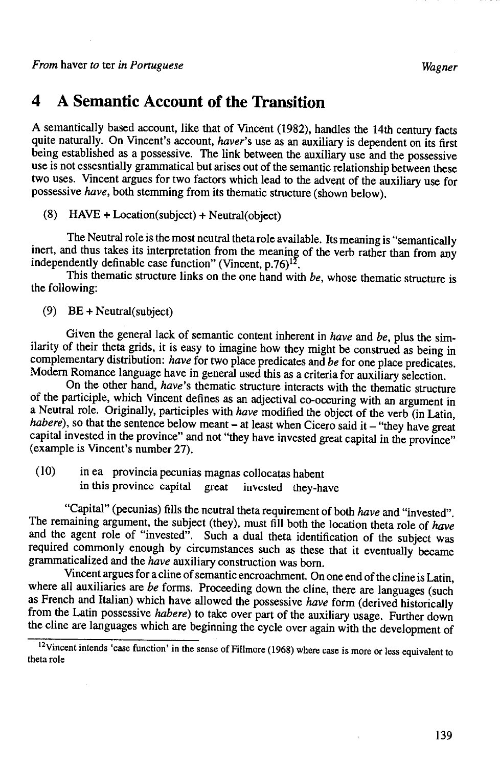# **4 A Semantic Account of the Transition**

A semantically based account, like that of Vincent (1982), handles the 14th century facts quite naturally. On Vincent's account, *haver's* use as an auxiliary is dependent on its first being established as a possessive. The link between the auxiliary use and the possessive use is not essesntially grammatical but arises out of the semantic relationship between these two uses. Vincent argues for two factors which lead to the advent of the auxiliary use for possessive *have,* both stemming from its thematic structure (shown below).

(8)  $HAVE + Location(subject) + Neutral(object)$ 

The Neutral role is the most neutral theta role available. Its meaning is "semantically inert, and thus takes its interpretation from the meaning of the verb rather than from any independently definable case function" (Vincent,  $p.76$ )<sup>12</sup>.

This thematic structure links on the one hand with *be,* whose thematic structure is the following:

(9) BE + Neutral(subject)

Given the general lack of semantic content inherent in *have* and *be,* plus the similarity of their theta grids, it is easy to imagine how they might be construed as being in complementary distribution: *have* for two place predicates and *be* for one place predicates. Modem Romance language have in general used this as a criteria for auxiliary selection.

On the other hand, *have's* thematic structure interacts with the thematic structure of the participle, which Vincent defines as an adjectival co-occuring with an argument in a Neutral role. Originally, participles with *have* modified the object of the verb (in Latin, *habere*), so that the sentence below meant - at least when Cicero said it - "they have great capital invested in the province" and not "they have invested great capital in the province" (example is Vincent's number 27).

(10) in ea provincia pecunias magnas collocatas habent in this province capital great invested they-have

"Capital" (pecunias) fills the neutral theta requirement of both *have* and "invested". The remaining argument, the subject (they), must fill both the location theta role of *have*  and the agent role of "invested". Such a dual theta identification of the subject was required commonly enough by circumstances such as these that it eventually became grammaticalized and the *have* auxiliary construction was born.

Vincent argues for a cline of semantic encroachment. On one end of the cline is Latin, where all auxiliaries are *be* forms. Proceeding down the cline, there are languages (such as French and Italian) which have allowed the possessive *have* form (derived historically from the Latin possessive *habere)* to take over part of the auxiliary usage. Further down the cline are languages which are beginning the cycle over again with the development of

<sup>&</sup>lt;sup>12</sup>Vincent intends 'case function' in the sense of Fillmore (1968) where case is more or less equivalent to theta role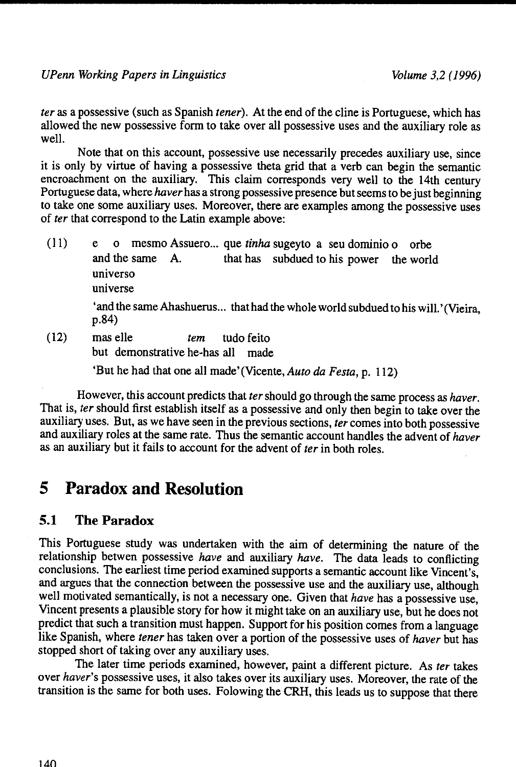*teras* a possessive (such as Spanish *tener).* At the end of the cline is Portuguese, which has allowed the new possessive form to take over all possessive uses and the auxiliary role as well.

Note that on this account, possessive use necessarily precedes auxiliary use, since it is only by virtue of having a possessive theta grid that a verb can begin the semantic encroachment on the auxiliary. This claim corresponds very well to the 14th century Portuguese data, where *haver* has a strong possessive presence but seems to be just beginning to take one some auxiliary uses. Moreover, there are examples among the possessive uses of *ter* that correspond to the Latin example above:

- (II) e o mesmo Assuero ... que *tinha* sugeyto a seu dominio o orbe and the same A. that has subdued to his power the world universo universe 'and the same Ahashuerus... that had the whole world subdued to his will.' (Vieira, p.84) (12) mas elle *tern* tudo feito
	- but demonstrative he-has all made

'But he had that one all made'(Vicente, *Auto da Festa,* p. 112)

However, this account predicts that *ter* should go through the same process as *haver.*  That is, *ter* should first establish itself as a possessive and only then begin to take over the auxiliary uses. But, as we have seen in the previous sections, *ter* comes into both possessive and auxiliary roles at the same rate. Thus the semantic account handles the advent of *haver*  as an auxiliary but it fails to account for the advent of *ter* in both roles.

# **5 Paradox and Resolution**

## **5.1 The Paradox**

This Portuguese study was undertaken with the aim of determining the nature of the relationship betwen possessive *have* and auxiliary *have.* The data leads to conflicting conclusions. The earliest time period examined supports a semantic account like Vincent's, and argues that the connection between the possessive use and the auxiliary use, although well motivated semantically, is not a necessary one. Given that *have* has a possessive use, Vincent presents a plausible story for how it might take on an auxiliary use, but he does not predict that such a transition must happen. Support for his position comes from a language like Spanish, where *tener* has taken over a portion of the possessive uses of *haver* but has stopped short of taking over any auxiliary uses.

The later time periods examined, however, paint a different picture. As *ter* takes over *haver's* possessive uses, it also takes over its auxiliary uses. Moreover, the rate of the transition is the same for both uses. Folowing the CRH, this leads us to suppose that there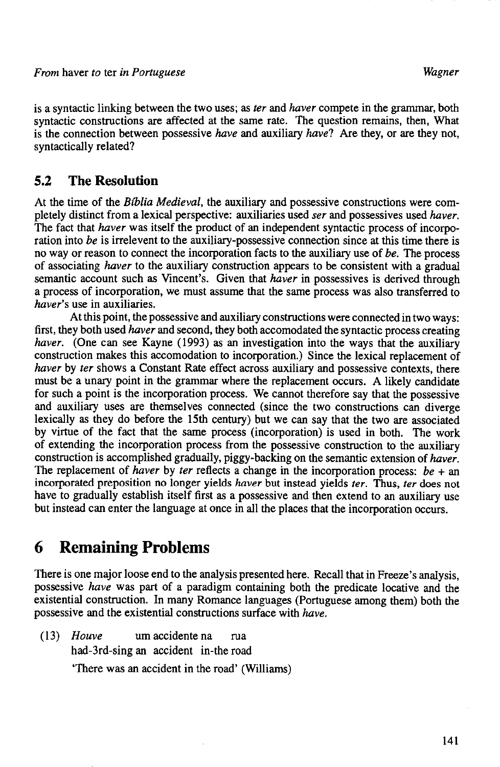is a syntactic linking between the two uses; as *ter* and *haver* compete in the grammar, both syntactic constructions are affected at the same rate. The question remains, then, What is the connection between possessive *have* and auxiliary *have?* Are they, or are they not, syntactically related?

## **5.2 The Resolution**

At the time of the *Bfblia Medieval,* the auxiliary and possessive constructions were completely distinct from a lexical perspective: auxiliaries used *ser* and possessives used *haver.*  The fact that *haver* was itself the product of an independent syntactic process of incorporation into *be* is irrelevent to the auxiliary-possessive connection since at this time there is no way or reason to connect the incorporation facts to the auxiliary use of *be.* The process of associating *haver* to the auxiliary construction appears to be consistent with a gradual semantic account such as Vincent's. Given that *haver* in possessives is derived through a process of incorporation, we must assume that the same process was also transferred to *haver's* use in auxiliaries.

At this point, the possessive and auxiliary constructions were connected in two ways: first, they both used *haver* and second, they both accomodated the syntactic process creating *haver.* (One can see Kayne (1993) as an investigation into the ways that the auxiliary construction makes this accomodation to incorporation.) Since the lexical replacement of *haver* by *ter* shows a Constant Rate effect across auxiliary and possessive contexts, there must be a unary point in the grammar where the replacement occurs. A likely candidate for such a point is the incorporation process. We cannot therefore say that the possessive and auxiliary uses are themselves connected (since the two constructions can diverge lexically as they do before the 15th century) but we can say that the two are associated by virtue of the fact that the same process (incorporation) is used in both. The work of extending the incorporation process from the possessive construction to the auxiliary construction is accomplished gradually, piggy-backing on the semantic extension of *haver.*  The replacement of *haver* by *ter* reflects a change in the incorporation process: *be* + an incorporated preposition no longer yields *haver* but instead yields *ter.* Thus, *ter* does not have to gradually establish itself first as a possessive and then extend to an auxiliary use but instead can enter the language at once in all the places that the incorporation occurs.

# **6 Remaining Problems**

There is one major loose end to the analysis presented here. Recall that in Freeze's analysis, possessive *have* was part of a paradigm containing both the predicate locative and the existential construction. In many Romance languages (Portuguese among them) both the possessive and the existential constructions surface with *have.* 

(13) *Houve* urn accidente na rua had-3rd-sing an accident in-the road 'There was an accident in the road' (Williams)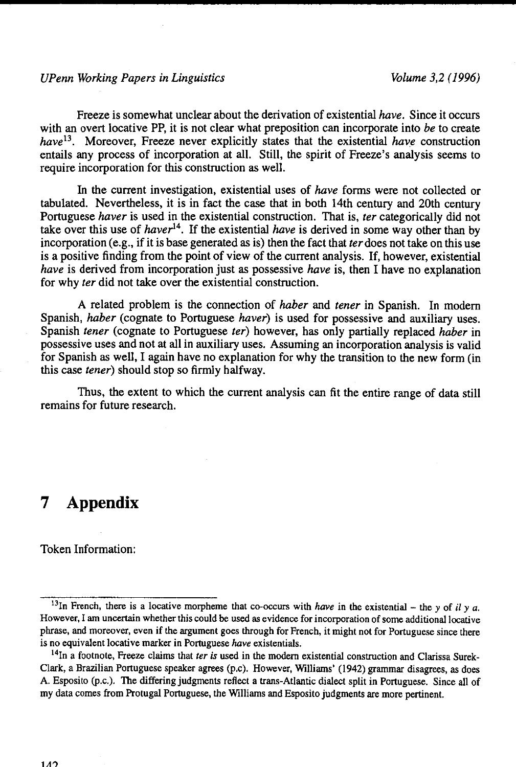#### *UPenn Working Papers in Linguistics Volume 3,2 ( 1996)*

Freeze is somewhat unclear about the derivation of existential *have.* Since it occurs with an overt locative PP, it is not clear what preposition can incorporate into *be* to create *have*<sup>13</sup> • Moreover, Freeze never explicitly states that the existential *have* construction entails any process of incorporation at all. Still, the spirit of Freeze's analysis seems to require incorporation for this construction as well.

In the current investigation, existential uses of *have* forms were not collected or tabulated. Nevertheless, it is in fact the case that in both 14th century and 20th century Portuguese *haver* is used in the existential construction. That is, *ter* categorically did not take over this use of *haver*14• If the existential *have* is derived in some way other than by incorporation (e.g., if it is base generated as is) then the fact that *ter* does not take on this use is a positive finding from the point of view of the current analysis. If, however, existential *have* is derived from incorporation just as possessive *have* is, then I have no explanation for why *ter* did not take over the existential construction.

A related problem is the connection of *haber* and *tener* in Spanish. In modem Spanish, *haber* (cognate to Portuguese *haver)* is used for possessive and auxiliary uses. Spanish *tener* (cognate to Portuguese *ter)* however, has only partially replaced *haber* in possessive uses and not at all in auxiliary uses. Assuming an incorporation analysis is valid for Spanish as well, I again have no explanation for why the transition to the new form (in this case *tener)* should stop so firmly halfway.

Thus, the extent to which the current analysis can fit the entire range of data still remains for future research.

# **7 Appendix**

Token Information:

<sup>&</sup>lt;sup>13</sup>In French, there is a locative morpheme that co-occurs with *have* in the existential – the y of il y a. However, I am uncertain whether this could be used as evidence for incorporation of some additional locative phrase, and moreover, even if the argument goes through for French, it might not for Portuguese since there is no equivalent locative marker in Portuguese *have* existentials.

<sup>14</sup>In a footnote, Freeze claims that *ter is* used in the modem existential construction and Clarissa Surek-Clark, a Brazilian Portuguese speaker agrees (p.c). However, Williams' (1942) grammar disagrees, as does A. Esposito (p.c.). The differing judgments reflect a trans-Atlantic dialect split in Portuguese. Since all of my data comes from Protugal Portuguese, the Williams and Esposito judgments are more pertinent.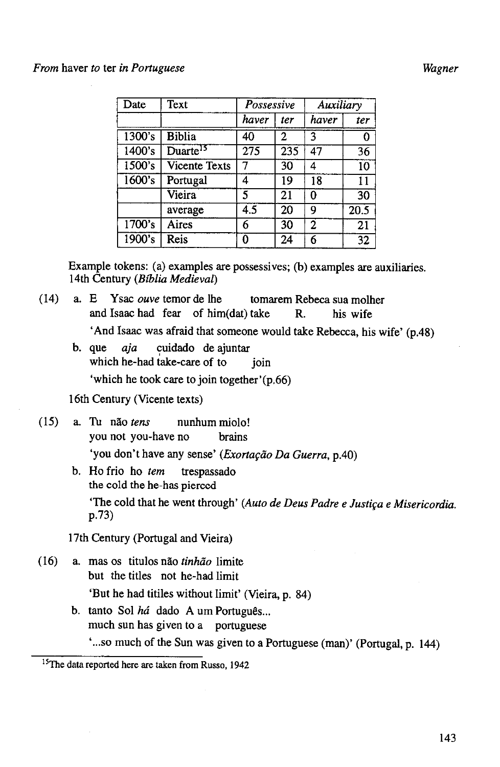#### *From* haver *to* ter *in Portuguese Wagner*

| Date                 | Text                 | Possessive |     | Auxiliary      |                 |
|----------------------|----------------------|------------|-----|----------------|-----------------|
|                      |                      | haver      | ter | haver          | ter             |
| $\overline{1300}$ 's | <b>Biblia</b>        | 40         | 2   | 3              | 0               |
| 1400's               | Duarte <sup>15</sup> | 275        | 235 | 47             | $\overline{36}$ |
| 1500's               | <b>Vicente Texts</b> |            | 30  | 4              | 10              |
| 1600's               | Portugal             | Δ          | 19  | 18             | $\overline{11}$ |
|                      | Vieira               | 5          | 21  | 0              | $\overline{30}$ |
|                      | average              | 4.5        | 20  | 9              | 20.5            |
| 1700's               | Aires                | 6          | 30  | $\overline{2}$ | 21              |
| 1900's               | Reis                 | ŋ          | 24  | 6              | 32              |

Example tokens: (a) examples are possessives; (b) examples are auxiliaries. 14th Century *(Biblia Medieval)* 

- ( 14) a. E Y sac *ouve* temor de !he tomarem Rebeca sua molher and Isaac had fear of him(dat) take R. his wife 'And Isaac was afraid that someone would take Rebecca, his wife' (p.48)
	- b. que *aja* cuidado de ajuntar which he-had take-care of to join 'which he took care to join together'(p.66)

16th Century (Vicente texts)

- ( 15) a. Tu nao *tens* nunhum miolo! you not you-have no brains 'you don't have any sense' *(Exortação Da Guerra, p.40)* 
	- b. Ho frio ho *tern* trespassado the cold the he-has pierced 'The cold that he went through' (Auto de Deus Padre e Justiça e Misericordia. p.73)

17th Century (Portugal and Vieira)

- ( 16) a. mas os titulos nao *tinhiio* limite but the titles not he-had limit 'But he had titiles without limit' (Vieira, p. 84)
	- b. tanto Sol *há* dado A um Português... much sun has given to a portuguese ' ... so much of the Sun was given to a Portuguese (man)' (Portugal, p. 144)

<sup>&</sup>lt;sup>15</sup>The data reported here are taken from Russo, 1942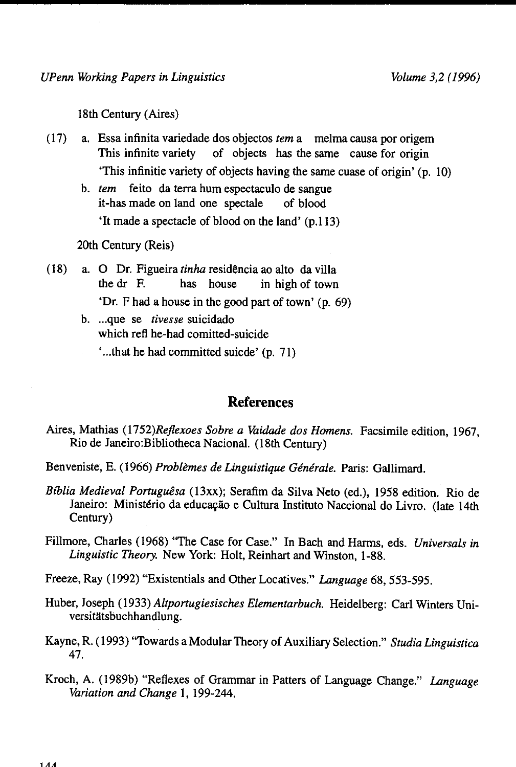18th Century (Aires)

- ( 17) a. Essa infinita variedade dos objectos *tern* a melma causa por origem This infinite variety of objects has the same cause for origin 'This infinitie variety of objects having the same cuase of origin' (p. 10)
	- b. *tern* feito da terra hum espectaculo de sangue it-has made on land one spectale of blood 'It made a spectacle of blood on the land' (p.113)

20th Century (Reis)

- (18) a. 0 Dr. Figueira *tinha* residencia ao alto davilla the dr F. has house in high of town 'Dr. F had a house in the good part of town' (p. 69)
	- b. ...que se *tivesse* suicidado which refl he-had comitted-suicide
		- ' ... that he had committed suicde' (p. 71)

#### **References**

- Aires, Mathias *(1752)Rejlexoes Sabre a Vaidade dos Homens.* Facsimile edition, 1967, Rio de Janeiro:Bibliotheca Nacional. (18th Century)
- Benveniste, E. (1966) Problèmes de Linguistique Générale. Paris: Gallimard.
- *Bfblia Medieval Portuguesa* (13xx); Serafim da Silva Neto (ed.), 1958 edition. Rio de Janeiro: Ministério da educação e Cultura Instituto Naccional do Livro. (late 14th Century)

Fillmore, Charles (1968) ''The Case for Case." In Bach and Harms, eds. *Universals in Linguistic Theory.* New York: Holt, Reinhart and Winston, 1-88.

Freeze, Ray (1992) "Existentials and Other Locatives." *Language* 68, 553-595.

- Huber, Joseph ( 1933) *Altportugiesisches Elementarbuch.* Heidelberg: Carl Winters Universitätsbuchhandlung.
- Kayne, R. ( 1993) "Towards a Modular Theory of Auxiliary Selection." *Studia Linguistica*  47.
- Kroch, A. (1989b) "Reflexes of Grammar in Patters of Language Change." *Language Variation and Change* 1, 199-244.